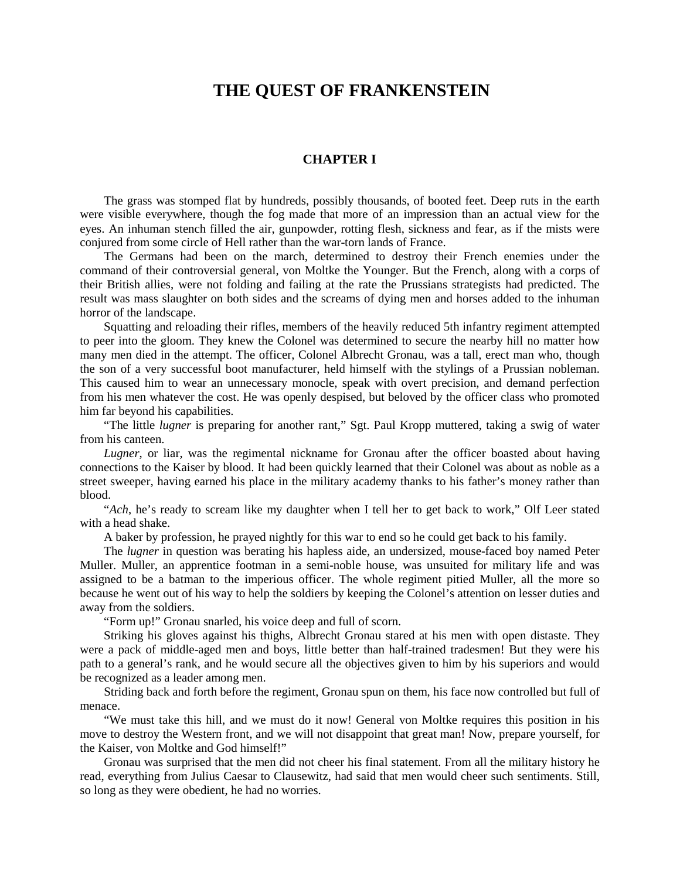## **THE QUEST OF FRANKENSTEIN**

## **CHAPTER I**

The grass was stomped flat by hundreds, possibly thousands, of booted feet. Deep ruts in the earth were visible everywhere, though the fog made that more of an impression than an actual view for the eyes. An inhuman stench filled the air, gunpowder, rotting flesh, sickness and fear, as if the mists were conjured from some circle of Hell rather than the war-torn lands of France.

The Germans had been on the march, determined to destroy their French enemies under the command of their controversial general, von Moltke the Younger. But the French, along with a corps of their British allies, were not folding and failing at the rate the Prussians strategists had predicted. The result was mass slaughter on both sides and the screams of dying men and horses added to the inhuman horror of the landscape.

Squatting and reloading their rifles, members of the heavily reduced 5th infantry regiment attempted to peer into the gloom. They knew the Colonel was determined to secure the nearby hill no matter how many men died in the attempt. The officer, Colonel Albrecht Gronau, was a tall, erect man who, though the son of a very successful boot manufacturer, held himself with the stylings of a Prussian nobleman. This caused him to wear an unnecessary monocle, speak with overt precision, and demand perfection from his men whatever the cost. He was openly despised, but beloved by the officer class who promoted him far beyond his capabilities.

"The little *lugner* is preparing for another rant," Sgt. Paul Kropp muttered, taking a swig of water from his canteen.

*Lugner*, or liar, was the regimental nickname for Gronau after the officer boasted about having connections to the Kaiser by blood. It had been quickly learned that their Colonel was about as noble as a street sweeper, having earned his place in the military academy thanks to his father's money rather than blood.

"*Ach*, he's ready to scream like my daughter when I tell her to get back to work," Olf Leer stated with a head shake.

A baker by profession, he prayed nightly for this war to end so he could get back to his family.

The *lugner* in question was berating his hapless aide, an undersized, mouse-faced boy named Peter Muller. Muller, an apprentice footman in a semi-noble house, was unsuited for military life and was assigned to be a batman to the imperious officer. The whole regiment pitied Muller, all the more so because he went out of his way to help the soldiers by keeping the Colonel's attention on lesser duties and away from the soldiers.

"Form up!" Gronau snarled, his voice deep and full of scorn.

Striking his gloves against his thighs, Albrecht Gronau stared at his men with open distaste. They were a pack of middle-aged men and boys, little better than half-trained tradesmen! But they were his path to a general's rank, and he would secure all the objectives given to him by his superiors and would be recognized as a leader among men.

Striding back and forth before the regiment, Gronau spun on them, his face now controlled but full of menace.

"We must take this hill, and we must do it now! General von Moltke requires this position in his move to destroy the Western front, and we will not disappoint that great man! Now, prepare yourself, for the Kaiser, von Moltke and God himself!"

Gronau was surprised that the men did not cheer his final statement. From all the military history he read, everything from Julius Caesar to Clausewitz, had said that men would cheer such sentiments. Still, so long as they were obedient, he had no worries.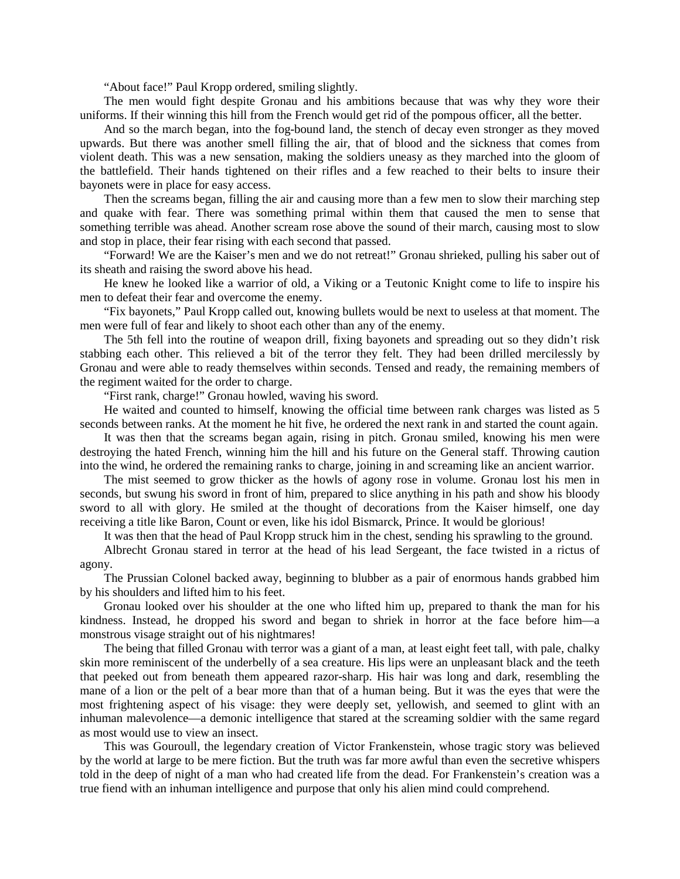"About face!" Paul Kropp ordered, smiling slightly.

The men would fight despite Gronau and his ambitions because that was why they wore their uniforms. If their winning this hill from the French would get rid of the pompous officer, all the better.

And so the march began, into the fog-bound land, the stench of decay even stronger as they moved upwards. But there was another smell filling the air, that of blood and the sickness that comes from violent death. This was a new sensation, making the soldiers uneasy as they marched into the gloom of the battlefield. Their hands tightened on their rifles and a few reached to their belts to insure their bayonets were in place for easy access.

Then the screams began, filling the air and causing more than a few men to slow their marching step and quake with fear. There was something primal within them that caused the men to sense that something terrible was ahead. Another scream rose above the sound of their march, causing most to slow and stop in place, their fear rising with each second that passed.

"Forward! We are the Kaiser's men and we do not retreat!" Gronau shrieked, pulling his saber out of its sheath and raising the sword above his head.

He knew he looked like a warrior of old, a Viking or a Teutonic Knight come to life to inspire his men to defeat their fear and overcome the enemy.

"Fix bayonets," Paul Kropp called out, knowing bullets would be next to useless at that moment. The men were full of fear and likely to shoot each other than any of the enemy.

The 5th fell into the routine of weapon drill, fixing bayonets and spreading out so they didn't risk stabbing each other. This relieved a bit of the terror they felt. They had been drilled mercilessly by Gronau and were able to ready themselves within seconds. Tensed and ready, the remaining members of the regiment waited for the order to charge.

"First rank, charge!" Gronau howled, waving his sword.

He waited and counted to himself, knowing the official time between rank charges was listed as 5 seconds between ranks. At the moment he hit five, he ordered the next rank in and started the count again.

It was then that the screams began again, rising in pitch. Gronau smiled, knowing his men were destroying the hated French, winning him the hill and his future on the General staff. Throwing caution into the wind, he ordered the remaining ranks to charge, joining in and screaming like an ancient warrior.

The mist seemed to grow thicker as the howls of agony rose in volume. Gronau lost his men in seconds, but swung his sword in front of him, prepared to slice anything in his path and show his bloody sword to all with glory. He smiled at the thought of decorations from the Kaiser himself, one day receiving a title like Baron, Count or even, like his idol Bismarck, Prince. It would be glorious!

It was then that the head of Paul Kropp struck him in the chest, sending his sprawling to the ground.

Albrecht Gronau stared in terror at the head of his lead Sergeant, the face twisted in a rictus of agony.

The Prussian Colonel backed away, beginning to blubber as a pair of enormous hands grabbed him by his shoulders and lifted him to his feet.

Gronau looked over his shoulder at the one who lifted him up, prepared to thank the man for his kindness. Instead, he dropped his sword and began to shriek in horror at the face before him—a monstrous visage straight out of his nightmares!

The being that filled Gronau with terror was a giant of a man, at least eight feet tall, with pale, chalky skin more reminiscent of the underbelly of a sea creature. His lips were an unpleasant black and the teeth that peeked out from beneath them appeared razor-sharp. His hair was long and dark, resembling the mane of a lion or the pelt of a bear more than that of a human being. But it was the eyes that were the most frightening aspect of his visage: they were deeply set, yellowish, and seemed to glint with an inhuman malevolence—a demonic intelligence that stared at the screaming soldier with the same regard as most would use to view an insect.

This was Gouroull, the legendary creation of Victor Frankenstein, whose tragic story was believed by the world at large to be mere fiction. But the truth was far more awful than even the secretive whispers told in the deep of night of a man who had created life from the dead. For Frankenstein's creation was a true fiend with an inhuman intelligence and purpose that only his alien mind could comprehend.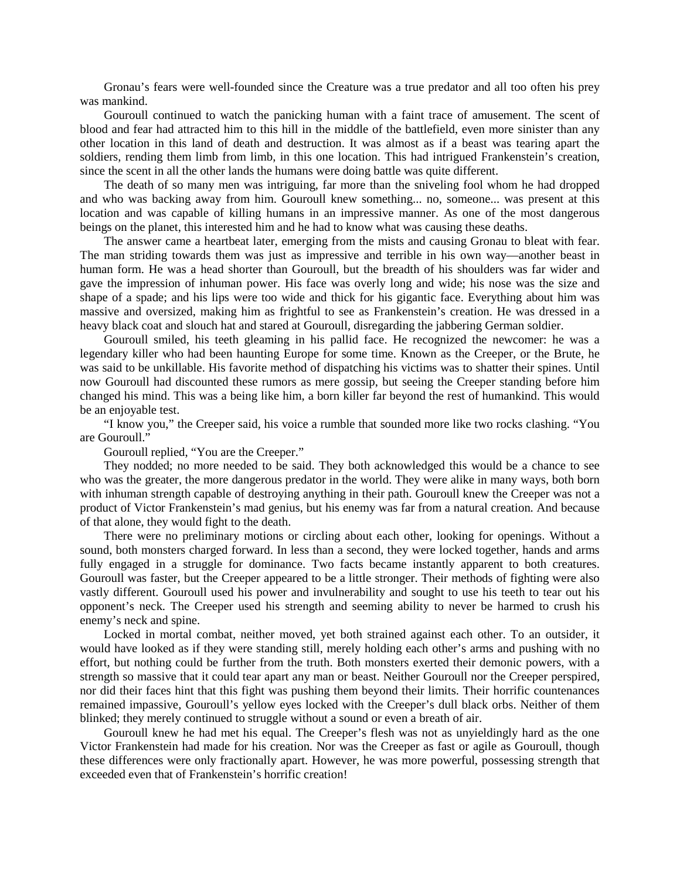Gronau's fears were well-founded since the Creature was a true predator and all too often his prey was mankind.

Gouroull continued to watch the panicking human with a faint trace of amusement. The scent of blood and fear had attracted him to this hill in the middle of the battlefield, even more sinister than any other location in this land of death and destruction. It was almost as if a beast was tearing apart the soldiers, rending them limb from limb, in this one location. This had intrigued Frankenstein's creation, since the scent in all the other lands the humans were doing battle was quite different.

The death of so many men was intriguing, far more than the sniveling fool whom he had dropped and who was backing away from him. Gouroull knew something... no, someone... was present at this location and was capable of killing humans in an impressive manner. As one of the most dangerous beings on the planet, this interested him and he had to know what was causing these deaths.

The answer came a heartbeat later, emerging from the mists and causing Gronau to bleat with fear. The man striding towards them was just as impressive and terrible in his own way—another beast in human form. He was a head shorter than Gouroull, but the breadth of his shoulders was far wider and gave the impression of inhuman power. His face was overly long and wide; his nose was the size and shape of a spade; and his lips were too wide and thick for his gigantic face. Everything about him was massive and oversized, making him as frightful to see as Frankenstein's creation. He was dressed in a heavy black coat and slouch hat and stared at Gouroull, disregarding the jabbering German soldier.

Gouroull smiled, his teeth gleaming in his pallid face. He recognized the newcomer: he was a legendary killer who had been haunting Europe for some time. Known as the Creeper, or the Brute, he was said to be unkillable. His favorite method of dispatching his victims was to shatter their spines. Until now Gouroull had discounted these rumors as mere gossip, but seeing the Creeper standing before him changed his mind. This was a being like him, a born killer far beyond the rest of humankind. This would be an enjoyable test.

"I know you," the Creeper said, his voice a rumble that sounded more like two rocks clashing. "You are Gouroull."

Gouroull replied, "You are the Creeper."

They nodded; no more needed to be said. They both acknowledged this would be a chance to see who was the greater, the more dangerous predator in the world. They were alike in many ways, both born with inhuman strength capable of destroying anything in their path. Gouroull knew the Creeper was not a product of Victor Frankenstein's mad genius, but his enemy was far from a natural creation. And because of that alone, they would fight to the death.

There were no preliminary motions or circling about each other, looking for openings. Without a sound, both monsters charged forward. In less than a second, they were locked together, hands and arms fully engaged in a struggle for dominance. Two facts became instantly apparent to both creatures. Gouroull was faster, but the Creeper appeared to be a little stronger. Their methods of fighting were also vastly different. Gouroull used his power and invulnerability and sought to use his teeth to tear out his opponent's neck. The Creeper used his strength and seeming ability to never be harmed to crush his enemy's neck and spine.

Locked in mortal combat, neither moved, yet both strained against each other. To an outsider, it would have looked as if they were standing still, merely holding each other's arms and pushing with no effort, but nothing could be further from the truth. Both monsters exerted their demonic powers, with a strength so massive that it could tear apart any man or beast. Neither Gouroull nor the Creeper perspired, nor did their faces hint that this fight was pushing them beyond their limits. Their horrific countenances remained impassive, Gouroull's yellow eyes locked with the Creeper's dull black orbs. Neither of them blinked; they merely continued to struggle without a sound or even a breath of air.

Gouroull knew he had met his equal. The Creeper's flesh was not as unyieldingly hard as the one Victor Frankenstein had made for his creation. Nor was the Creeper as fast or agile as Gouroull, though these differences were only fractionally apart. However, he was more powerful, possessing strength that exceeded even that of Frankenstein's horrific creation!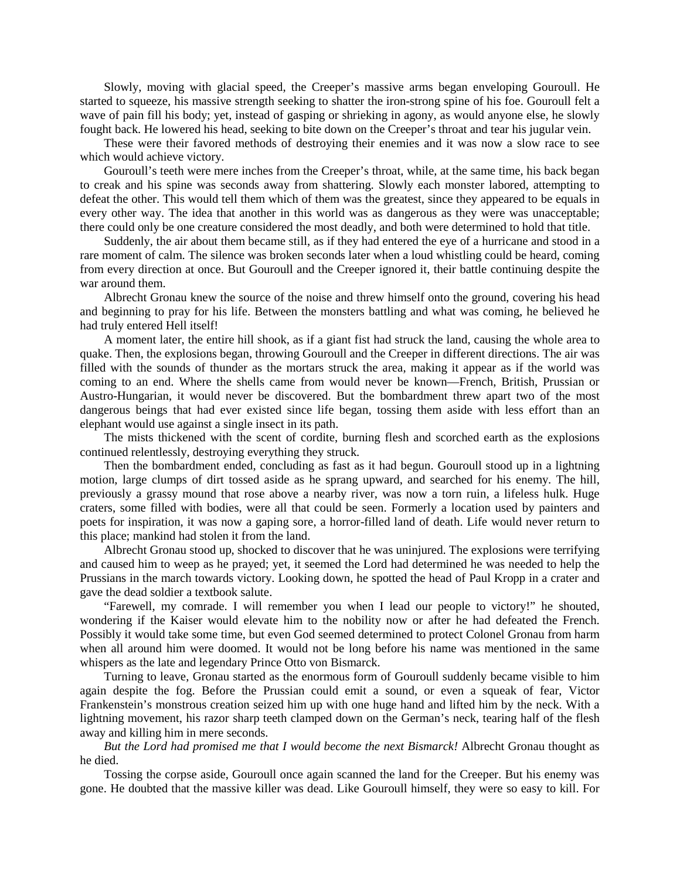Slowly, moving with glacial speed, the Creeper's massive arms began enveloping Gouroull. He started to squeeze, his massive strength seeking to shatter the iron-strong spine of his foe. Gouroull felt a wave of pain fill his body; yet, instead of gasping or shrieking in agony, as would anyone else, he slowly fought back. He lowered his head, seeking to bite down on the Creeper's throat and tear his jugular vein.

These were their favored methods of destroying their enemies and it was now a slow race to see which would achieve victory.

Gouroull's teeth were mere inches from the Creeper's throat, while, at the same time, his back began to creak and his spine was seconds away from shattering. Slowly each monster labored, attempting to defeat the other. This would tell them which of them was the greatest, since they appeared to be equals in every other way. The idea that another in this world was as dangerous as they were was unacceptable; there could only be one creature considered the most deadly, and both were determined to hold that title.

Suddenly, the air about them became still, as if they had entered the eye of a hurricane and stood in a rare moment of calm. The silence was broken seconds later when a loud whistling could be heard, coming from every direction at once. But Gouroull and the Creeper ignored it, their battle continuing despite the war around them.

Albrecht Gronau knew the source of the noise and threw himself onto the ground, covering his head and beginning to pray for his life. Between the monsters battling and what was coming, he believed he had truly entered Hell itself!

A moment later, the entire hill shook, as if a giant fist had struck the land, causing the whole area to quake. Then, the explosions began, throwing Gouroull and the Creeper in different directions. The air was filled with the sounds of thunder as the mortars struck the area, making it appear as if the world was coming to an end. Where the shells came from would never be known—French, British, Prussian or Austro-Hungarian, it would never be discovered. But the bombardment threw apart two of the most dangerous beings that had ever existed since life began, tossing them aside with less effort than an elephant would use against a single insect in its path.

The mists thickened with the scent of cordite, burning flesh and scorched earth as the explosions continued relentlessly, destroying everything they struck.

Then the bombardment ended, concluding as fast as it had begun. Gouroull stood up in a lightning motion, large clumps of dirt tossed aside as he sprang upward, and searched for his enemy. The hill, previously a grassy mound that rose above a nearby river, was now a torn ruin, a lifeless hulk. Huge craters, some filled with bodies, were all that could be seen. Formerly a location used by painters and poets for inspiration, it was now a gaping sore, a horror-filled land of death. Life would never return to this place; mankind had stolen it from the land.

Albrecht Gronau stood up, shocked to discover that he was uninjured. The explosions were terrifying and caused him to weep as he prayed; yet, it seemed the Lord had determined he was needed to help the Prussians in the march towards victory. Looking down, he spotted the head of Paul Kropp in a crater and gave the dead soldier a textbook salute.

"Farewell, my comrade. I will remember you when I lead our people to victory!" he shouted, wondering if the Kaiser would elevate him to the nobility now or after he had defeated the French. Possibly it would take some time, but even God seemed determined to protect Colonel Gronau from harm when all around him were doomed. It would not be long before his name was mentioned in the same whispers as the late and legendary Prince Otto von Bismarck.

Turning to leave, Gronau started as the enormous form of Gouroull suddenly became visible to him again despite the fog. Before the Prussian could emit a sound, or even a squeak of fear, Victor Frankenstein's monstrous creation seized him up with one huge hand and lifted him by the neck. With a lightning movement, his razor sharp teeth clamped down on the German's neck, tearing half of the flesh away and killing him in mere seconds.

*But the Lord had promised me that I would become the next Bismarck!* Albrecht Gronau thought as he died.

Tossing the corpse aside, Gouroull once again scanned the land for the Creeper. But his enemy was gone. He doubted that the massive killer was dead. Like Gouroull himself, they were so easy to kill. For